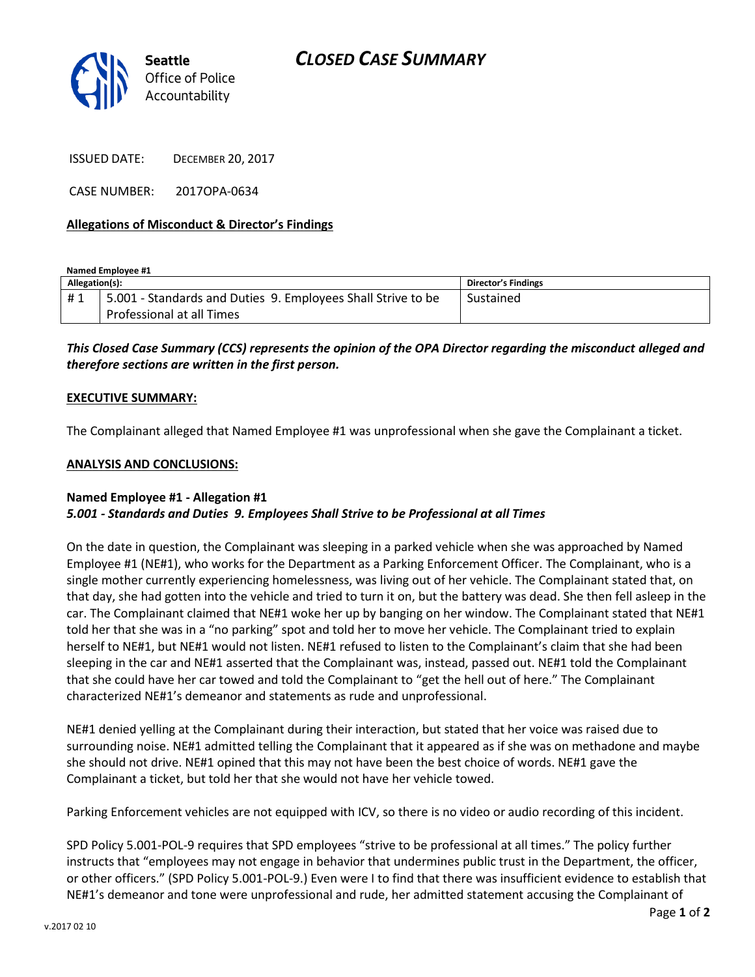

ISSUED DATE: DECEMBER 20, 2017

CASE NUMBER: 2017OPA-0634

### **Allegations of Misconduct & Director's Findings**

**Named Employee #1**

| Allegation(s): |                                                              | <b>Director's Findings</b> |
|----------------|--------------------------------------------------------------|----------------------------|
| #1             | 5.001 - Standards and Duties 9. Employees Shall Strive to be | Sustained                  |
|                | Professional at all Times                                    |                            |

*This Closed Case Summary (CCS) represents the opinion of the OPA Director regarding the misconduct alleged and therefore sections are written in the first person.* 

#### **EXECUTIVE SUMMARY:**

The Complainant alleged that Named Employee #1 was unprofessional when she gave the Complainant a ticket.

#### **ANALYSIS AND CONCLUSIONS:**

## **Named Employee #1 - Allegation #1** *5.001 - Standards and Duties 9. Employees Shall Strive to be Professional at all Times*

On the date in question, the Complainant was sleeping in a parked vehicle when she was approached by Named Employee #1 (NE#1), who works for the Department as a Parking Enforcement Officer. The Complainant, who is a single mother currently experiencing homelessness, was living out of her vehicle. The Complainant stated that, on that day, she had gotten into the vehicle and tried to turn it on, but the battery was dead. She then fell asleep in the car. The Complainant claimed that NE#1 woke her up by banging on her window. The Complainant stated that NE#1 told her that she was in a "no parking" spot and told her to move her vehicle. The Complainant tried to explain herself to NE#1, but NE#1 would not listen. NE#1 refused to listen to the Complainant's claim that she had been sleeping in the car and NE#1 asserted that the Complainant was, instead, passed out. NE#1 told the Complainant that she could have her car towed and told the Complainant to "get the hell out of here." The Complainant characterized NE#1's demeanor and statements as rude and unprofessional.

NE#1 denied yelling at the Complainant during their interaction, but stated that her voice was raised due to surrounding noise. NE#1 admitted telling the Complainant that it appeared as if she was on methadone and maybe she should not drive. NE#1 opined that this may not have been the best choice of words. NE#1 gave the Complainant a ticket, but told her that she would not have her vehicle towed.

Parking Enforcement vehicles are not equipped with ICV, so there is no video or audio recording of this incident.

SPD Policy 5.001-POL-9 requires that SPD employees "strive to be professional at all times." The policy further instructs that "employees may not engage in behavior that undermines public trust in the Department, the officer, or other officers." (SPD Policy 5.001-POL-9.) Even were I to find that there was insufficient evidence to establish that NE#1's demeanor and tone were unprofessional and rude, her admitted statement accusing the Complainant of